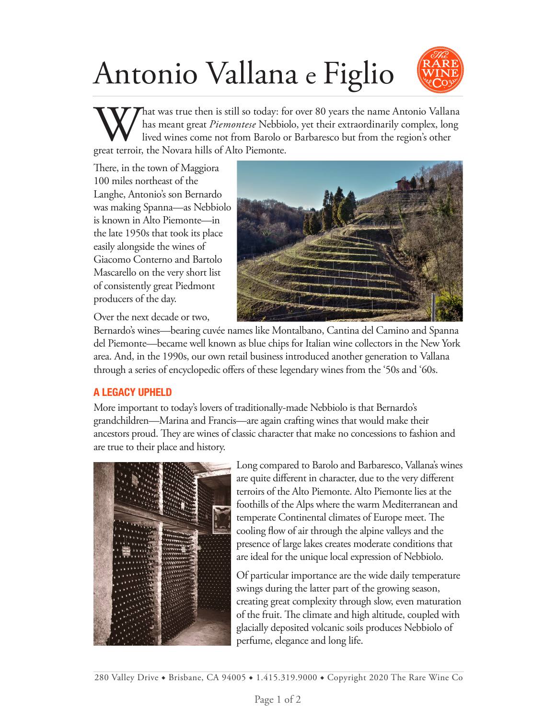# Antonio Vallana e Figlio



What was true then is still so today: for over 80 years the name Antonio Vallana has meant great *Piemontese* Nebbiolo, yet their extraordinarily complex, long lived wines come not from Barolo or Barbaresco but from the region's other great terroir, the Novara hills of Alto Piemonte.

There, in the town of Maggiora 100 miles northeast of the Langhe, Antonio's son Bernardo was making Spanna—as Nebbiolo is known in Alto Piemonte—in the late 1950s that took its place easily alongside the wines of Giacomo Conterno and Bartolo Mascarello on the very short list of consistently great Piedmont producers of the day.



Over the next decade or two,

Bernardo's wines—bearing cuvée names like Montalbano, Cantina del Camino and Spanna del Piemonte—became well known as blue chips for Italian wine collectors in the New York area. And, in the 1990s, our own retail business introduced another generation to Vallana through a series of encyclopedic offers of these legendary wines from the '50s and '60s.

## **A LEGACY UPHELD**

More important to today's lovers of traditionally-made Nebbiolo is that Bernardo's grandchildren—Marina and Francis—are again crafting wines that would make their ancestors proud. They are wines of classic character that make no concessions to fashion and are true to their place and history.



Long compared to Barolo and Barbaresco, Vallana's wines are quite different in character, due to the very different terroirs of the Alto Piemonte. Alto Piemonte lies at the foothills of the Alps where the warm Mediterranean and temperate Continental climates of Europe meet. The cooling flow of air through the alpine valleys and the presence of large lakes creates moderate conditions that are ideal for the unique local expression of Nebbiolo.

Of particular importance are the wide daily temperature swings during the latter part of the growing season, creating great complexity through slow, even maturation of the fruit. The climate and high altitude, coupled with glacially deposited volcanic soils produces Nebbiolo of perfume, elegance and long life.